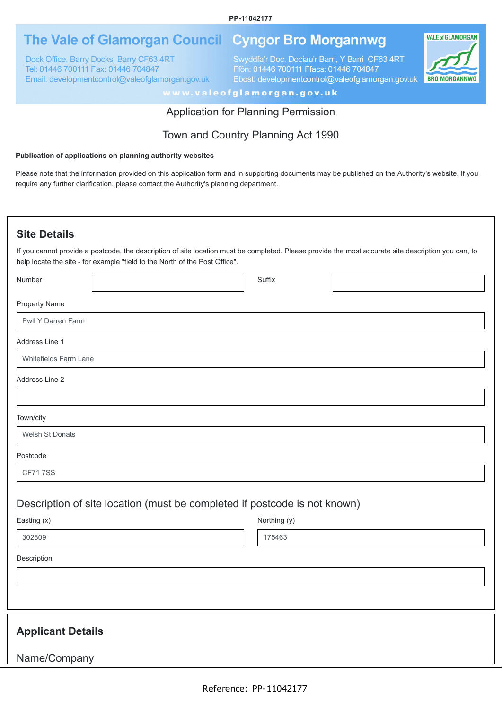#### **PP-11042177**

# The Vale of Glamorgan Council Cyngor Bro Morgannwg

Dock Office, Barry Docks, Barry CF63 4RT Tel: 01446 700111 Fax: 01446 704847 Email: developmentcontrol@valeofglamorgan.gov.uk Swyddfa'r Doc, Dociau'r Barri, Y Barri CF63 4RT Ffôn: 01446 700111 Ffacs: 01446 704847 Ebost: developmentcontrol@valeofglamorgan.gov.uk



www.valeofglamorgan.gov.uk

#### Application for Planning Permission

## Town and Country Planning Act 1990

#### **Publication of applications on planning authority websites**

Please note that the information provided on this application form and in supporting documents may be published on the Authority's website. If you require any further clarification, please contact the Authority's planning department.

#### **Site Details**

If you cannot provide a postcode, the description of site location must be completed. Please provide the most accurate site description you can, to help locate the site - for example "field to the North of the Post Office".

| Number                   |                                                                           | Suffix       |  |
|--------------------------|---------------------------------------------------------------------------|--------------|--|
| <b>Property Name</b>     |                                                                           |              |  |
| Pwll Y Darren Farm       |                                                                           |              |  |
| Address Line 1           |                                                                           |              |  |
| Whitefields Farm Lane    |                                                                           |              |  |
| Address Line 2           |                                                                           |              |  |
|                          |                                                                           |              |  |
| Town/city                |                                                                           |              |  |
| Welsh St Donats          |                                                                           |              |  |
| Postcode                 |                                                                           |              |  |
| <b>CF717SS</b>           |                                                                           |              |  |
|                          | Description of site location (must be completed if postcode is not known) |              |  |
| Easting (x)              |                                                                           | Northing (y) |  |
| 302809                   |                                                                           | 175463       |  |
| Description              |                                                                           |              |  |
|                          |                                                                           |              |  |
|                          |                                                                           |              |  |
|                          |                                                                           |              |  |
| <b>Applicant Details</b> |                                                                           |              |  |
| Name/Company             |                                                                           |              |  |
|                          |                                                                           |              |  |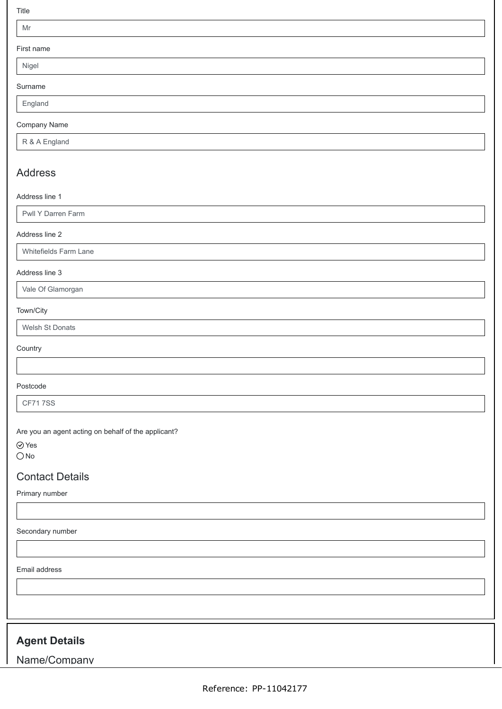Title

#### Mr

First name

Nigel

Surname

England

#### Company Name

R & A England

## Address

#### Address line 1

Pwll Y Darren Farm

#### Address line 2

Whitefields Farm Lane

#### Address line 3

Vale Of Glamorgan

#### Town/City

Welsh St Donats

#### **Country**

Postcode

CF71 7SS

Are you an agent acting on behalf of the applicant?

Yes

 $\bigcirc$  No

## Contact Details

Primary number

Secondary number

Email address

# **Agent Details**

Name/Company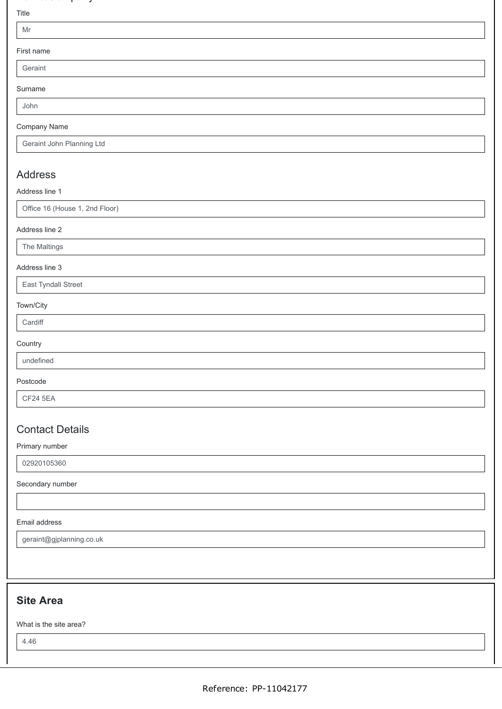## a e/co pa y

#### Title

| First name |
|------------|

Geraint

Surname

John

#### Company Name

Geraint John Planning Ltd

## Address

Address line 1

Office 16 (House 1, 2nd Floor)

#### Address line 2

The Maltings

#### Address line 3

East Tyndall Street

#### Town/City

| . .<br>. .<br>×<br>×<br>٧<br>× |  |
|--------------------------------|--|

### **Country**

undefined

#### Postcode

CF24 5EA

## Contact Details

Primary number

02920105360

Secondary number

#### Email address

geraint@gjplanning.co.uk

# **Site Area**

What is the site area?

4.46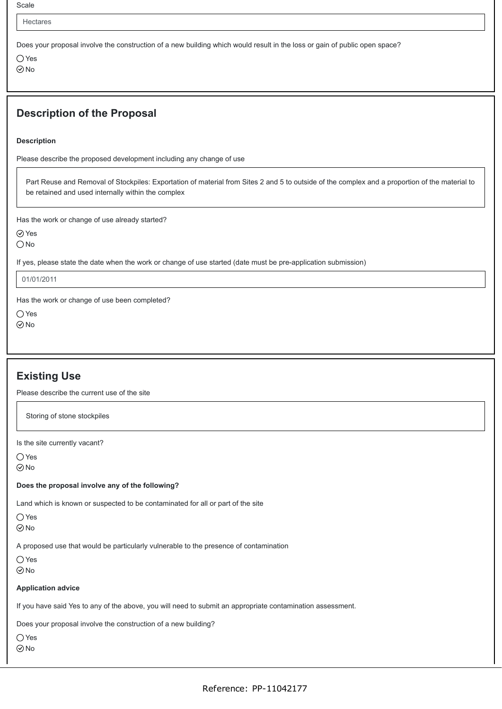Scale

Hectares

Does your proposal involve the construction of a new building which would result in the loss or gain of public open space?

○ Yes ⊘<sub>No</sub>

## **Description of the Proposal**

**Description**

Please describe the proposed development including any change of use

Part Reuse and Removal of Stockpiles: Exportation of material from Sites 2 and 5 to outside of the complex and a proportion of the material to be retained and used internally within the complex

Has the work or change of use already started?

Yes

 $\bigcirc$  No

If yes, please state the date when the work or change of use started (date must be pre-application submission)

01/01/2011

Has the work or change of use been completed?

○ Yes  $\odot$ No

## **Existing Use**

Please describe the current use of the site

Storing of stone stockpiles

Is the site currently vacant?

○Yes

 $\odot$  No

**Does the proposal involve any of the following?**

Land which is known or suspected to be contaminated for all or part of the site

 $\bigcirc$  Yes

 $\odot$ No

A proposed use that would be particularly vulnerable to the presence of contamination

 $\bigcap$  Yes

 $\odot$ No

#### **Application advice**

If you have said Yes to any of the above, you will need to submit an appropriate contamination assessment.

Does your proposal involve the construction of a new building?

 $\bigcirc$  Yes

 $\odot$  No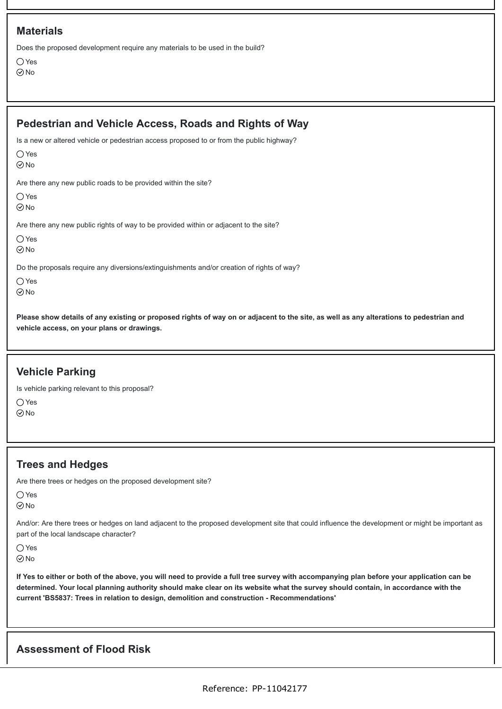Does the proposed development require any materials to be used in the build?

 $\bigcap$  Yes  $\odot$ No

| Pedestrian and Vehicle Access, Roads and Rights of Way                                                                    |
|---------------------------------------------------------------------------------------------------------------------------|
| Is a new or altered vehicle or pedestrian access proposed to or from the public highway?<br>$\bigcirc$ Yes<br>$\odot$ No  |
| Are there any new public roads to be provided within the site?<br>$\bigcirc$ Yes<br>$\odot$ No                            |
| Are there any new public rights of way to be provided within or adjacent to the site?<br>$\bigcirc$ Yes<br>$\odot$ No     |
| Do the proposals require any diversions/extinguishments and/or creation of rights of way?<br>$\bigcirc$ Yes<br>$\odot$ No |
| Please show details of any existing or proposed rights of way on or adjacent to the site, as well as any alteration       |

**Please show details of any existing or proposed rights of way on or adjacent to the site, as well as any alterations to pedestrian and vehicle access, on your plans or drawings.**

## **Vehicle Parking**

Is vehicle parking relevant to this proposal?

 $\bigcap$  Yes

 $\odot$ No

## **Trees and Hedges**

Are there trees or hedges on the proposed development site?

| ۰, | ۹<br>۰, |
|----|---------|
|    |         |

 $\odot$ No

And/or: Are there trees or hedges on land adjacent to the proposed development site that could influence the development or might be important as part of the local landscape character?

Yes

 $\odot$ No

**If Yes to either or both of the above, you will need to provide a full tree survey with accompanying plan before your application can be determined. Your local planning authority should make clear on its website what the survey should contain, in accordance with the current 'BS5837: Trees in relation to design, demolition and construction - Recommendations'**

## **Assessment of Flood Risk**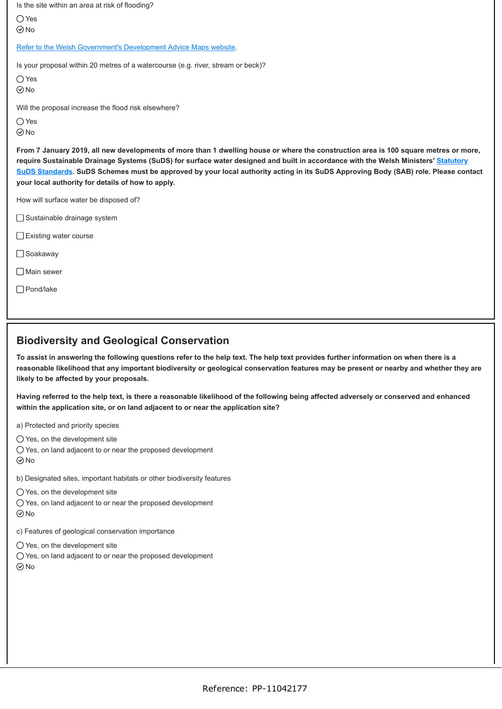Is the site within an area at risk of flooding? [Refer to the Welsh Government's Development Advice Maps website](https://naturalresources.wales/floodriskmap?lang=en). Is your proposal within 20 metres of a watercourse (e.g. river, stream or beck)? Will the proposal increase the flood risk elsewhere? **From 7 January 2019, all new developments of more than 1 dwelling house or where the construction area is 100 square metres or more, [require Sustainable Drainage Systems \(SuDS\) for surface water designed and built in accordance with the Welsh Ministers' Statutory](https://gov.wales/topics/environmentcountryside/epq/flooding/drainage/?lang=en) SuDS Standards. SuDS Schemes must be approved by your local authority acting in its SuDS Approving Body (SAB) role. Please contact your local authority for details of how to apply.** How will surface water be disposed of? ○ Yes **⊘**No ○Yes **⊘No**  $\bigcirc$  Yes No Sustainable drainage system

- □ Existing water course
- □ Soakaway
- □ Main sewer
- Pond/lake

### **Biodiversity and Geological Conservation**

**To assist in answering the following questions refer to the help text. The help text provides further information on when there is a reasonable likelihood that any important biodiversity or geological conservation features may be present or nearby and whether they are likely to be affected by your proposals.**

**Having referred to the help text, is there a reasonable likelihood of the following being affected adversely or conserved and enhanced within the application site, or on land adjacent to or near the application site?**

- a) Protected and priority species
- $\bigcirc$  Yes, on the development site
- Yes, on land adjacent to or near the proposed development
- $\odot$  No

b) Designated sites, important habitats or other biodiversity features

- $\bigcirc$  Yes, on the development site
- Yes, on land adjacent to or near the proposed development  $\odot$ No
- 
- c) Features of geological conservation importance
- $\bigcirc$  Yes, on the development site
- Yes, on land adjacent to or near the proposed development  $\odot$ No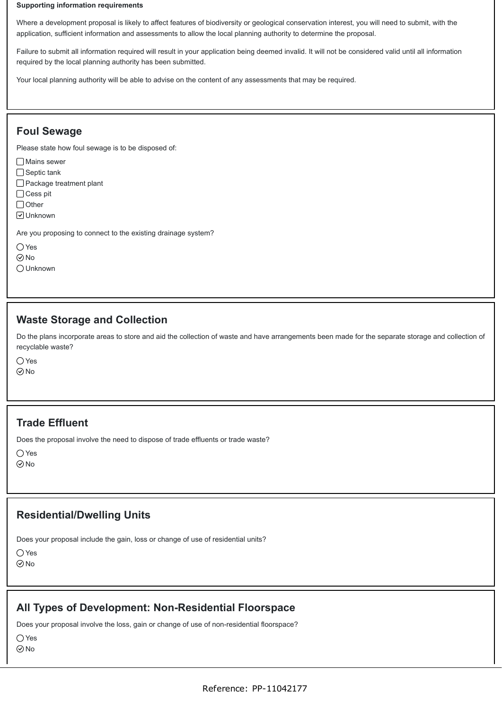#### **Supporting information requirements**

Where a development proposal is likely to affect features of biodiversity or geological conservation interest, you will need to submit, with the application, sufficient information and assessments to allow the local planning authority to determine the proposal.

Failure to submit all information required will result in your application being deemed invalid. It will not be considered valid until all information required by the local planning authority has been submitted.

Your local planning authority will be able to advise on the content of any assessments that may be required.

## **Foul Sewage**

Please state how foul sewage is to be disposed of:

- Mains sewer
- $\Box$  Septic tank
- □ Package treatment plant
- □ Cess pit
- □ Other
- **□** Unknown

Are you proposing to connect to the existing drainage system?

- Yes
- No
- Unknown

#### **Waste Storage and Collection**

Do the plans incorporate areas to store and aid the collection of waste and have arrangements been made for the separate storage and collection of recyclable waste?

○ Yes  $\odot$ No

#### **Trade Effluent**

Does the proposal involve the need to dispose of trade effluents or trade waste?

○Yes

#### **⊘No**

### **Residential/Dwelling Units**

Does your proposal include the gain, loss or change of use of residential units?

### **All Types of Development: Non-Residential Floorspace**

Does your proposal involve the loss, gain or change of use of non-residential floorspace?

○ Yes

 $\odot$ No

<sup>○</sup>Yes **⊘**No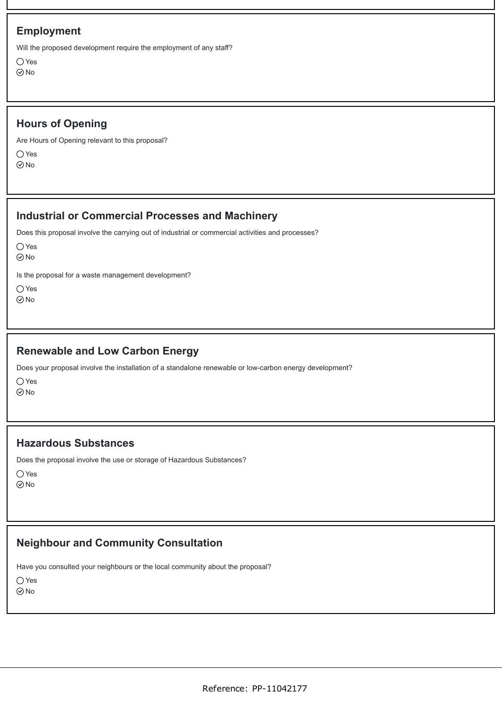## **Employment**

Will the proposed development require the employment of any staff?

 $\bigcap$  Yes  $\odot$ No

## **Hours of Opening**

Are Hours of Opening relevant to this proposal?

 $\bigcap$  Yes ⊘<sub>No</sub>

## **Industrial or Commercial Processes and Machinery**

Does this proposal involve the carrying out of industrial or commercial activities and processes?

 $\bigcap$  Yes No

Is the proposal for a waste management development?

Yes

No

## **Renewable and Low Carbon Energy**

Does your proposal involve the installation of a standalone renewable or low-carbon energy development?

 $\bigcap$  Yes

 $\odot$ No

### **Hazardous Substances**

Does the proposal involve the use or storage of Hazardous Substances?

Yes

 $\odot$ No

# **Neighbour and Community Consultation**

Have you consulted your neighbours or the local community about the proposal?

 $\bigcirc$  Yes

 $\odot$ No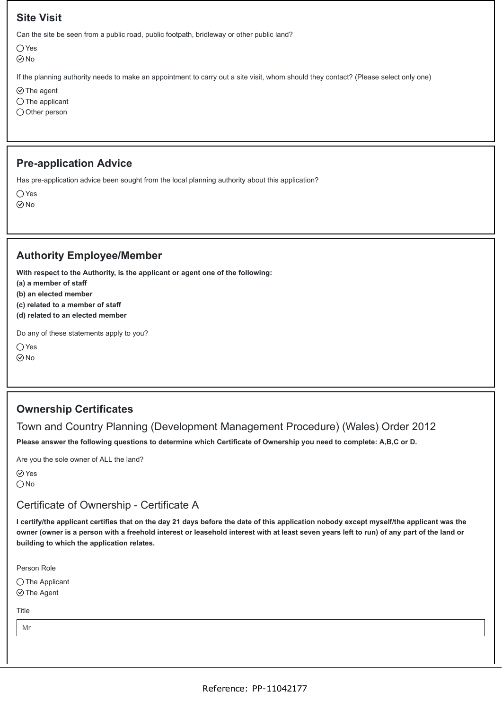## **Site Visit**

Can the site be seen from a public road, public footpath, bridleway or other public land?

○ Yes

No

If the planning authority needs to make an appointment to carry out a site visit, whom should they contact? (Please select only one)

 $\odot$  The agent

 $\bigcirc$  The applicant

 $\bigcirc$  Other person

### **Pre-application Advice**

Has pre-application advice been sought from the local planning authority about this application?

○Yes

 $\odot$ No

## **Authority Employee/Member**

**With respect to the Authority, is the applicant or agent one of the following:**

**(a) a member of staff**

**(b) an elected member**

**(c) related to a member of staff**

**(d) related to an elected member**

Do any of these statements apply to you?

 $\bigcap$  Yes

 $\odot$ No

## **Ownership Certificates**

### Town and Country Planning (Development Management Procedure) (Wales) Order 2012

**Please answer the following questions to determine which Certificate of Ownership you need to complete: A,B,C or D.**

Are you the sole owner of ALL the land?

Yes

 $\bigcirc$  No

### Certificate of Ownership - Certificate A

**I certify/the applicant certifies that on the day 21 days before the date of this application nobody except myself/the applicant was the owner (owner is a person with a freehold interest or leasehold interest with at least seven years left to run) of any part of the land or building to which the application relates.**

Person Role

 $\bigcirc$  The Applicant

 $\odot$  The Agent

Title

Mr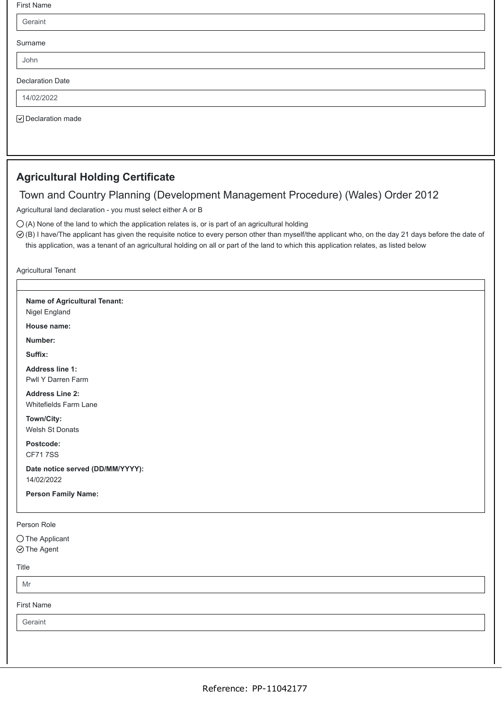| First Name              |  |
|-------------------------|--|
| Geraint                 |  |
| Surname                 |  |
| John                    |  |
| <b>Declaration Date</b> |  |
| 14/02/2022              |  |
| ○ Declaration made      |  |

# **Agricultural Holding Certificate**

## Town and Country Planning (Development Management Procedure) (Wales) Order 2012

Agricultural land declaration - you must select either A or B

 $\bigcirc$  (A) None of the land to which the application relates is, or is part of an agricultural holding

(B) I have/The applicant has given the requisite notice to every person other than myself/the applicant who, on the day 21 days before the date of this application, was a tenant of an agricultural holding on all or part of the land to which this application relates, as listed below

Agricultural Tenant

| Name of Agricultural Tenant:<br>Nigel England   |  |
|-------------------------------------------------|--|
| House name:                                     |  |
| Number:                                         |  |
| Suffix:                                         |  |
| <b>Address line 1:</b><br>Pwll Y Darren Farm    |  |
| <b>Address Line 2:</b><br>Whitefields Farm Lane |  |
| Town/City:<br>Welsh St Donats                   |  |
| Postcode:<br><b>CF717SS</b>                     |  |
| Date notice served (DD/MM/YYYY):<br>14/02/2022  |  |
| <b>Person Family Name:</b>                      |  |
| Person Role                                     |  |
| $\bigcirc$ The Applicant<br>$\odot$ The Agent   |  |
| Title                                           |  |
| Mr                                              |  |
| <b>First Name</b>                               |  |
| Geraint                                         |  |
|                                                 |  |